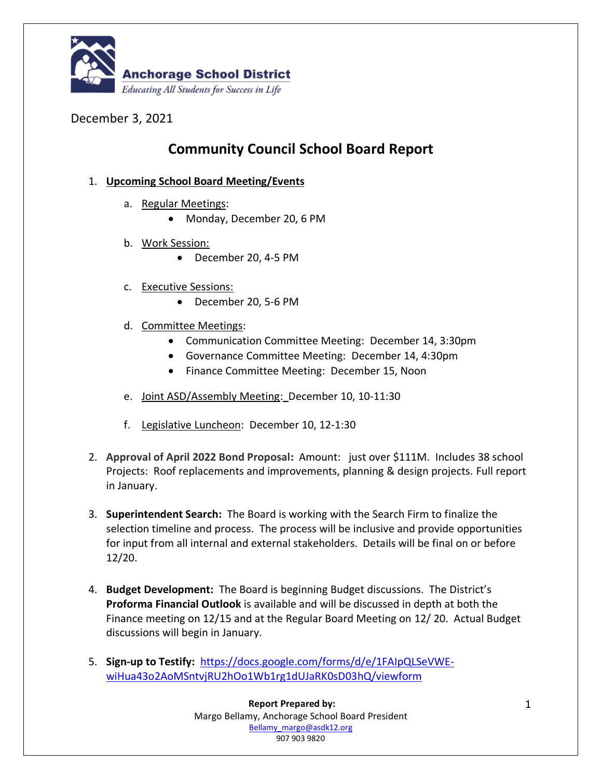

## December 3, 2021

## **Community Council School Board Report**

## 1. **Upcoming School Board Meeting/Events**

- a. Regular Meetings:
	- Monday, December 20, 6 PM
- b. Work Session:
	- December 20, 4-5 PM
- c. Executive Sessions:
	- December 20, 5-6 PM
- d. Committee Meetings:
	- Communication Committee Meeting: December 14, 3:30pm
	- Governance Committee Meeting: December 14, 4:30pm
	- Finance Committee Meeting: December 15, Noon
- e. Joint ASD/Assembly Meeting: December 10, 10-11:30
- f. Legislative Luncheon: December 10, 12-1:30
- 2. **Approval of April 2022 Bond Proposal:** Amount: just over \$111M. Includes 38 school Projects: Roof replacements and improvements, planning & design projects. Full report in January.
- 3. **Superintendent Search:** The Board is working with the Search Firm to finalize the selection timeline and process. The process will be inclusive and provide opportunities for input from all internal and external stakeholders. Details will be final on or before 12/20.
- 4. **Budget Development:** The Board is beginning Budget discussions. The District's **Proforma Financial Outlook** is available and will be discussed in depth at both the Finance meeting on 12/15 and at the Regular Board Meeting on 12/ 20. Actual Budget discussions will begin in January.
- 5. **Sign-up to Testify:** [https://docs.google.com/forms/d/e/1FAIpQLSeVWE](https://docs.google.com/forms/d/e/1FAIpQLSeVWE-wiHua43o2AoMSntvjRU2hOo1Wb1rg1dUJaRK0sD03hQ/viewform)[wiHua43o2AoMSntvjRU2hOo1Wb1rg1dUJaRK0sD03hQ/viewform](https://docs.google.com/forms/d/e/1FAIpQLSeVWE-wiHua43o2AoMSntvjRU2hOo1Wb1rg1dUJaRK0sD03hQ/viewform)